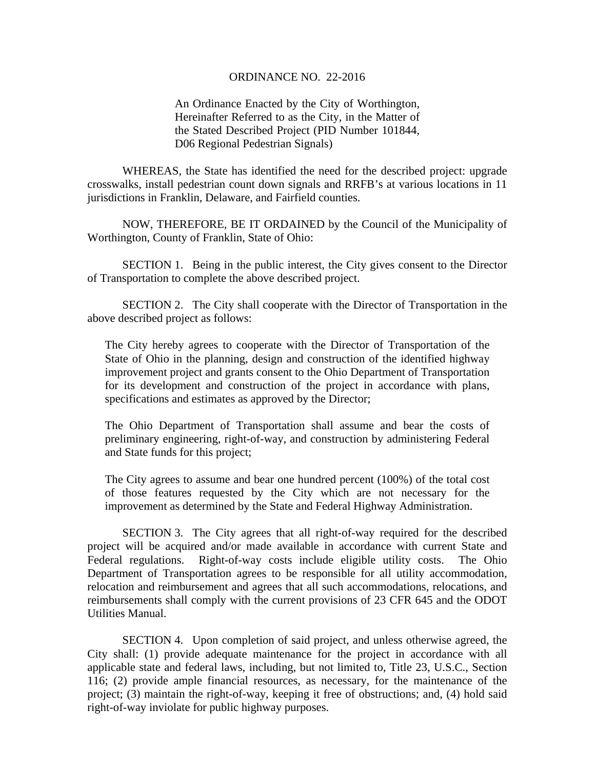## ORDINANCE NO. 22-2016

An Ordinance Enacted by the City of Worthington, Hereinafter Referred to as the City, in the Matter of the Stated Described Project (PID Number 101844, D06 Regional Pedestrian Signals)

WHEREAS, the State has identified the need for the described project: upgrade crosswalks, install pedestrian count down signals and RRFB's at various locations in 11 jurisdictions in Franklin, Delaware, and Fairfield counties.

NOW, THEREFORE, BE IT ORDAINED by the Council of the Municipality of Worthington, County of Franklin, State of Ohio:

SECTION 1. Being in the public interest, the City gives consent to the Director of Transportation to complete the above described project.

 SECTION 2. The City shall cooperate with the Director of Transportation in the above described project as follows:

The City hereby agrees to cooperate with the Director of Transportation of the State of Ohio in the planning, design and construction of the identified highway improvement project and grants consent to the Ohio Department of Transportation for its development and construction of the project in accordance with plans, specifications and estimates as approved by the Director;

The Ohio Department of Transportation shall assume and bear the costs of preliminary engineering, right-of-way, and construction by administering Federal and State funds for this project;

The City agrees to assume and bear one hundred percent (100%) of the total cost of those features requested by the City which are not necessary for the improvement as determined by the State and Federal Highway Administration.

 SECTION 3. The City agrees that all right-of-way required for the described project will be acquired and/or made available in accordance with current State and Federal regulations. Right-of-way costs include eligible utility costs. The Ohio Department of Transportation agrees to be responsible for all utility accommodation, relocation and reimbursement and agrees that all such accommodations, relocations, and reimbursements shall comply with the current provisions of 23 CFR 645 and the ODOT Utilities Manual.

 SECTION 4. Upon completion of said project, and unless otherwise agreed, the City shall: (1) provide adequate maintenance for the project in accordance with all applicable state and federal laws, including, but not limited to, Title 23, U.S.C., Section 116; (2) provide ample financial resources, as necessary, for the maintenance of the project; (3) maintain the right-of-way, keeping it free of obstructions; and, (4) hold said right-of-way inviolate for public highway purposes.